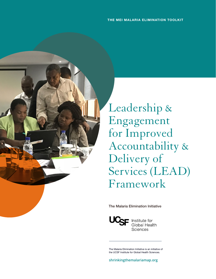

Leadership & Engagement for Improved Accountability & Delivery of Services (LEAD) Framework

The Malaria Elimination Initiative



Institute for<br>Global Health Sciences

The Malaria Elimination Initiative is an initiative of the UCSF Institute for Global Health Sciences.

**shrinkingthemalariamap.org**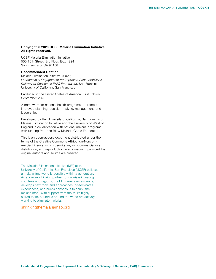#### Copyright © 2020 UCSF Malaria Elimination Initiative. All rights reserved.

UCSF Malaria Elimination Initiative 550 16th Street, 3rd Floor, Box 1224 San Francisco, CA 94158

#### Recommended Citation

Malaria Elimination Initiative. (2020). *Leadership & Engagement for Improved Accountability & Delivery of Services (LEAD) Framework*. San Francisco: University of California, San Francisco.

Produced in the United States of America. First Edition, September 2020.

A framework for national health programs to promote improved planning, decision-making, management, and leadership.

Developed by the University of California, San Francisco, Malaria Elimination Initiative and the University of West of England in collaboration with national malaria programs with funding from the Bill & Melinda Gates Foundation.

This is an open-access document distributed under the terms of the Creative Commons Attribution-Noncommercial License, which permits any noncommercial use, distribution, and reproduction in any medium, provided the original authors and source are credited.

The Malaria Elimination Initiative (MEI) at the University of California, San Francisco (UCSF) believes a malaria-free world is possible within a generation. As a forward-thinking partner to malaria-eliminating countries and regions, the MEI generates evidence, develops new tools and approaches, disseminates experiences, and builds consensus to shrink the malaria map. With support from the MEI's highlyskilled team, countries around the world are actively working to eliminate malaria.

#### [shrinkingthemalariamap.org](http://shrinkingthemalariamap.org)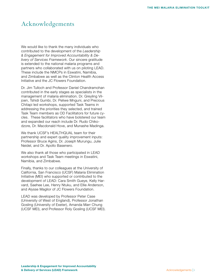# <span id="page-3-0"></span>Acknowledgements

We would like to thank the many individuals who contributed to the development of the *Leadership & Engagement for Improved Accountability & Delivery of Services Framework*. Our sincere gratitude is extended to the national malaria programs and partners who collaborated with us on piloting LEAD. These include the NMCPs in Eswatini, Namibia, and Zimbabwe as well as the Clinton Health Access Initiative and the JC Flowers Foundation.

Dr. Jim Tulloch and Professor Daniel Chandramohan contributed in the early stages as specialists in the management of malaria elimination. Dr. Greyling Viljoen, Tshidi Gumbi, Dr. Peliwe Mnguni, and Precious Chitapi led workshops, supported Task Teams in addressing the priorities they selected, and trained Task Team members as OD Facilitators for future cycles. These facilitators who have bolstered our team and expanded our reach include Dr. Rudo Chikodzore, Dr. Macdonald Hove, and Munashe Madinga.

We thank UCSF's HEALTHQUAL team for their partnership and expert quality improvement inputs: Professor Bruce Agins, Dr. Joseph Murungu, Julie Neidel, and Dr. Apollo Basenero.

We also thank all those who participated in LEAD workshops and Task Team meetings in Eswatini, Namibia, and Zimbabwe.

Finally, thanks to our colleagues at the University of California, San Francisco (UCSF) Malaria Elimination Initiative (MEI) who supported or contributed to the development of LEAD: Cara Smith Gueye, Kelly Harvard, Saehee Lee, Henry Ntuku, and Ellie Anderson, and Alysse Maglior of JC Flowers Foundation.

LEAD was developed by Professor Peter Case (University of West of England), Professor Jonathan Gosling (University of Exeter), Amanda Marr Chung (UCSF MEI), and Professor Roly Gosling (UCSF MEI).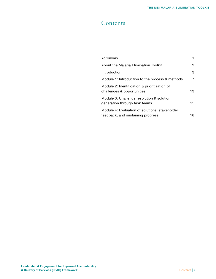# **Contents**

| Acronyms                                                                            |              |
|-------------------------------------------------------------------------------------|--------------|
| About the Malaria Elimination Toolkit                                               | 2            |
| Introduction                                                                        | 3            |
| Module 1: Introduction to the process & methods                                     | 7            |
| Module 2: Identification & prioritization of<br>challenges & opportunities          | 13           |
| Module 3: Challenge resolution & solution<br>generation through task teams          | $15^{\circ}$ |
| Module 4: Evaluation of solutions, stakeholder<br>feedback, and sustaining progress | 18           |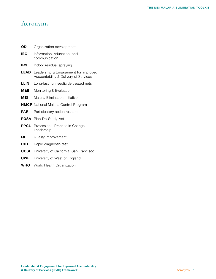# Acronyms

- **OD** Organization development
- **IEC** Information, education, and communication
- **IRS** Indoor residual spraying
- **LEAD** Leadership & Engagement for Improved Accountability & Delivery of Services
- **LLIN** Long-lasting insecticide treated nets
- **M&E** Monitoring & Evaluation
- **MEI** Malaria Elimination Initiative
- NMCP National Malaria Control Program
- **PAR** Participatory action research
- PDSA Plan-Do-Study-Act
- **PPCL** Professional Practice in Change Leadership
- **QI** Quality improvement
- **RDT** Rapid diagnostic test
- **UCSF** University of California, San Francisco
- **UWE** University of West of England
- WHO World Health Organization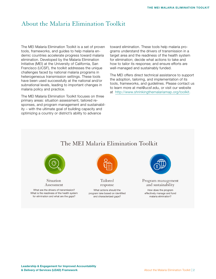# About the Malaria Elimination Toolkit

The MEI Malaria Elimination Toolkit is a set of proven tools, frameworks, and guides to help malaria endemic countries accelerate progress toward malaria elimination. Developed by the Malaria Elimination Initiative (MEI) at the University of California, San Francisco (UCSF), the toolkit addresses the unique challenges faced by national malaria programs in heterogeneous transmission settings. These tools have been used successfully at the national and/or subnational levels, leading to important changes in malaria policy and practice.

The MEI Malaria Elimination Toolkit focuses on three primary areas: situation assessment, tailored responses, and program management and sustainability – with the ultimate goal of building capacity and optimizing a country or district's ability to advance

toward elimination. These tools help malaria programs understand the drivers of transmission in a target area and the readiness of the health system for elimination; decide what actions to take and how to tailor its response; and ensure efforts are well-managed and sustainably funded.

The MEI offers direct technical assistance to support the adoption, tailoring, and implementation of its tools, frameworks, and guidelines. Please contact us to learn more at mei@ucsf.edu, or visit our website at http://www.shrinkingthemalariamap.org/toolkit.

# The MEI Malaria Elimination Toolkit



Situation Assessment

What are the drivers of transmission? What is the readiness of the health system for elimination and what are the gaps?



Tailored response

What actions should the program take based on identified and characterized gaps?



Program management and sustainability

How does the program effectively manage and fund malaria elimination?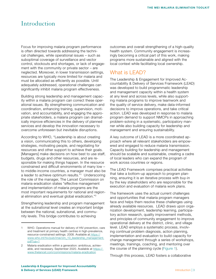# <span id="page-7-0"></span>Introduction

Focus for improving malaria program performance is often directed towards addressing the technical challenges, while operational issues – such as suboptimal coverage of surveillance and vector control, stockouts and shortages, or lack of engagement with the community or private sector – are neglected. Moreover, in lower transmission settings, resources are typically more limited for malaria and must be allocated as efficiently as possible. Until adequately addressed, operational challenges can significantly inhibit malaria program effectiveness.

Building strong leadership and management capacity within a malaria program can correct these operational issues. By strengthening communication and coordination, enhancing training, supervision, motivation, and accountability, and engaging the appropriate stakeholders, a malaria program can dramatically improve efficiencies in the delivery of planned services and develop the innovation necessary to overcome unforeseen but inevitable disruptions.

According to WHO, "Leadership is about creating a vision, communicating this to others, developing strategies, motivating people, and negotiating for resources and other support to achieve their goals. [Managers] make decisions on how best to use staff, budgets, drugs and other resources, and are responsible for making things happen. In the resource constrained and difficult environments of many low – to middle-income countries, a manager must also be a leader to achieve optimum results."<sup>1</sup> Underscoring the role of the manager, The Lancet Commission on malaria eradication states "effective management and implementation of malaria programs are the most important requirements for national and regional elimination and eventual global eradication."2

Strengthening leadership and program management at the subnational level creates an important bridge between the national, subnational, and community levels. This bridge contributes to achieving

outcomes and overall strengthening of a high-quality health system. Community engagement is increasingly becoming a critical part of this work, making programs more sustainable and aligned with the local context while facilitating local ownership.

# What is LEAD?

The Leadership & Engagement for Improved Accountability & Delivery of Services Framework (LEAD) was developed to build programmatic leadership and management capacity within a health system at any level and across levels, while also supporting malaria programs to improve teamwork and the quality of service delivery, make data-informed decisions to improve operations, and take critical action. LEAD was developed in response to malaria program demand to support NMCPs in approaching problem-solving in a systematic, participatory manner while also building capacity for leadership and management and ensuring sustainability.

A key outcome of LEAD is a more coordinated approach where all relevant stakeholders are empowered and engaged to reduce malaria transmission. Capacity building for leadership and management should be scalable and sustainable, creating a cadre of local leaders who can expand the program of work across countries or regions.

The LEAD Framework comprises practical activities that take a bottom-up approach to program planning, ensuring it is an iterative process with buy-in by the key stakeholders who are responsible for the execution and evaluation of malaria work plans.

The framework uses the actual current challenges and opportunities that malaria program managers face and helps them resolve these challenges using already available resources. LEAD draws upon organization development, leadership learning, participatory action research, quality improvement methods, and principles of community engagement to improve operational delivery at the district, clinic, and village level. LEAD employs a systematic process, involving continual problem diagnosis, action planning, implementation and evaluation to build capacity for change management through a series of workshops, meetings, trainings, coaching, and mentoring over the course of the planning cycle (Figure 1).

Through this process, LEAD fosters a collaborative

WHO. Operations manual for delivery of HIV prevention, care and treatment at primary health centres in high-prevalence, resource-constrained settings. 2008. Available a[t https://](https://www.who.int/hiv/pub/imai/om_10_leadership_management.pdf?ua=1) [www.who.int/hiv/pub/imai/om\\_10\\_leadership\\_management.](https://www.who.int/hiv/pub/imai/om_10_leadership_management.pdf?ua=1) [pdf?ua=1](https://www.who.int/hiv/pub/imai/om_10_leadership_management.pdf?ua=1)

<sup>2</sup> Malaria eradication within a generation: ambitious, achievable, and necessary. September 2020. Available at [https://](https:// www.thelancet.com/commissions/malaria-eradication)  [www.thelancet.com/commissions/malaria-eradication](https:// www.thelancet.com/commissions/malaria-eradication)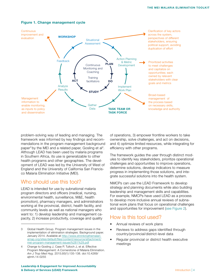

#### Figure 1. Change management cycle

problem-solving way of leading and managing. The framework was informed by key findings and recommendations in the program management background paper<sup>3</sup> by the MEI and a related paper, Gosling et al<sup>4</sup>. Although LEAD has been used by malaria programs in Southern Africa, its use is generalizable to other health programs and other geographies. The development of LEAD was led by the University of West of England and the University of California San Francisco Malaria Elimination Initiative (MEI).

## Who should use this tool?

LEAD is intended for use by subnational malaria program directors and officers (medical, nursing, environmental health, surveillance, M&E, health promotion), pharmacy managers, and administrators working at the provincial, district, health facility, and community levels as well as national managers who want to: 1) develop leadership and management capacity, 2) increase productivity, coverage and quality

of operations, 3) empower frontline workers to take ownership, solve challenges, and act on decisions, and 4) optimize limited resources, while integrating for efficiency with other programs.

The framework guides the user through distinct modules to identify key stakeholders, prioritize operational challenges and opportunities to improve operations, determine solutions, develop indicators to measure progress in implementing those solutions, and integrate successful solutions into the health system.

NMCPs can use the LEAD Framework to develop strategy and planning documents while also building leadership and management skills and capabilities. For example, NMCPs have used LEAD as a process to develop more inclusive annual reviews of subnational work plans that focus on operational challenges and opportunities for improvement (see Figure 2).

## How is this tool used?

- Annual reviews of work plans
- Reviews to address gaps identified through country/provincial/district-level data
- Regular provincial or district health executive meetings

<sup>3</sup> Global Health Group. Program management issues in the implementation of elimination strategies. Background paper. January 2014. Available at [http://www.shrinkingthemalari](http://www.shrinkingthemalariamap.org/sites/default/files/content/resource/attachment/mei-program-management-issues%281%29.pdf)[amap.org/sites/default/files/content/resource/attachment/](http://www.shrinkingthemalariamap.org/sites/default/files/content/resource/attachment/mei-program-management-issues%281%29.pdf) [mei-program-management-issues%281%29.pdf](http://www.shrinkingthemalariamap.org/sites/default/files/content/resource/attachment/mei-program-management-issues%281%29.pdf)

<sup>4</sup> Change to Gosling J, Case P, Tulloch J, et al. Effective Program Management: A Cornerstone of Malaria Elimination. *Am J Trop Med Hyg*. 2015;93(1):135-138. doi:10.4269/ ajtmh.14-0255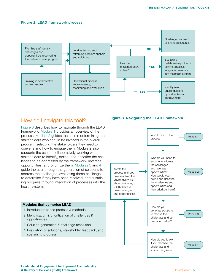#### Figure 2. LEAD framework process



## How do I navigate this tool?

Figure 3 describes how to navigate through the LEAD Framework. Module 1 provides an overview of the process. Module 2 guides the user in determining the stakeholders who should be involved in the overall program, selecting the stakeholders they need to convene and how to engage them. Module 2 also supports the user in collaboratively working with stakeholders to identify, define, and describe the challenges to be addressed by the framework, leverage opportunities, and prioritize them. Modules 3 and 4 guide the user through the generation of solutions to address the challenges, evaluating those challenges to determine if they have been resolved, and sustaining progress through integration of processes into the health system.

#### Modules that comprise LEAD

- 1. Introduction to the process & methods
- 2. Identification & prioritization of challenges & opportunities
- 3. Solution generation & challenge resolution
- 4. Evaluation of solutions, stakeholder feedback, and sustaining progress

### Figure 3. Navigating the LEAD Framework



Leadership & Engagement for Improved Accountability & Delivery of Services (LEAD) Framework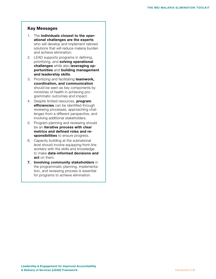### Key Messages

- 1. The individuals closest to the operational challenges are the experts who will develop and implement tailored solutions that will reduce malaria burden and achieve elimination.
- 2. LEAD supports programs in defining, prioritizing, and solving operational challenges while also leveraging opportunities and building management and leadership skills.
- 3. Prioritizing and facilitating teamwork, coordination, and communication should be seen as key components by ministries of health in achieving programmatic outcomes and impact.
- 4. Despite limited resources, **program** efficiencies can be identified through reviewing processes, approaching challenges from a different perspective, and involving additional stakeholders.
- 5. Program planning and reviewing should be an iterative process with clear metrics and defined roles and responsibilities to ensure progress.
- 6. Capacity building at the subnational level should involve equipping front-line workers with the skills and knowledge to make data-informed decisions and act on them.
- 7. Involving community stakeholders in the programmatic planning, implementation, and reviewing process is essential for programs to achieve elimination.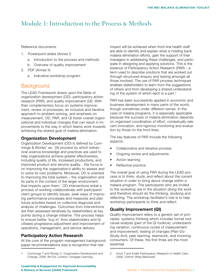# Module 1: Introduction to the Process & Methods

Reference documents

- 1. Powerpoint slides (Annex I)
	- a. Introduction to the process and methods
	- b. Overview of quality improvement
- 2. PDF (Annex II)
	- a. Indicative workshop program

## **Background**

The LEAD Framework draws upon the fields of organization development (OD), participatory action research (PAR), and quality improvement (QI). With their complementary focus on systems improvement, review of processes, an inclusive and iterative approach to problem-solving, and emphasis on measurement, OD, PAR, and QI foster overall organizational and individual changes that can result in improvements to the way in which teams work towards achieving the shared goal of malaria elimination.

### Organization Development

Organization Development (OD) is defined by Cummings  $& Worky<sup>1</sup>$  as: '[A] process by which behavioral science knowledge and practices are used to help organizations achieve greater effectiveness, including quality of life, increased productivity, and improved product and service quality... the focus is on improving the organization's ability to assess and to solve its own problems. Moreover, OD is oriented to improving the total system – the organization and its parts in the context of the larger environment that impacts upon them.' OD interventions entail a process of working collaboratively with participant/ client groups to identify issues, seek ways of improving performance processes and measures and plan future activities based on collective diagnosis and analysis of challenges. Outcomes from interventions are then assessed iteratively by stakeholders at key points during a change initiative. This process helps to ensure better 'buy-in' from stakeholders and facilitates progressive adjustment and improvement of operations, management, and service delivery.

### Participatory Action Research

At the core of the program management background paper recommendations was a recognition that real

impact will be achieved when front-line health staff are able to identify and explain what is holding back malaria elimination efforts, gain the support of their managers in addressing these challenges, and participate in designing and applying solutions. This is the essence of Participatory Action Research (PAR) – a term used to describe solutions that are worked out through structured enquiry and testing amongst all those involved. The use of PAR process techniques enables stakeholders to learn from the suggestions of others and from developing a shared understanding of the system of which each is a part. $2$ 

PAR has been successfully applied in economic and business development in many parts of the world, though sometimes under different names. In the case of malaria programs, it is especially applicable because the success of malaria elimination depends on organized coordination of effort, contextually relevant innovation, and rigorous monitoring and evaluation by those on the front lines.

The key features of PAR include the following aspects:

- Collaborative and iterative process
- Ongoing review and adjustments
- Action learning
- Reflective practice

The overall goal of using PAR during the LEAD process is to think, study, and reflect about the current situation in order to bring about change within a malaria program. The participants who are invited to the workshop are in the situation doing the work and therefore should do the thinking, studying and reflecting. The workshop facilitator's role is to help workshop participants to think and reflect.

### Quality Improvement (QI)

Quality improvement refers to a generic set of principles: systems-thinking which includes formal root cause analysis (part of the QI toolbox); understanding variation; continuous cycles of measurement and improvement; testing of changes (Plan-Do-Study-Act); peer learning, teamwork, and involving consumers. Of these, the first three are the most essential.

<sup>1</sup> Cummings T and Worley C. Organization Development and Change. 2008. 9th Ed. London: Cengage Learning.

<sup>2</sup> Koch T and Kralik Participatory Research in Health Care. 2006. Oxford: Wiley-Blackwell.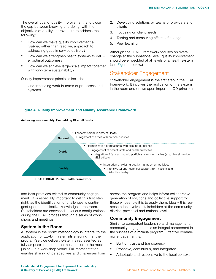The overall goal of quality improvement is to close the gap between knowing and doing, with the objectives of quality improvement to address the following:

- 1. How can we make quality improvement a *routine*, rather than reactive, approach to addressing gaps in service delivery?
- 2. How can we strengthen health systems to deliver optimal outcomes?
- 3. How can we achieve large-scale impact together with long-term sustainability?

Quality improvement principles include:

1. Understanding work in terms of processes and systems

Achieving sustainability: Embedding QI at all levels

- 2. Developing solutions by teams of providers and clients
- 3. Focusing on client needs
- 4. Testing and measuring effects of change
- 5. Peer learning

Although the LEAD Framework focuses on overall change at the subnational level, quality improvement should be embedded at all levels of a health system (see Figure 4 below.)

## Stakeholder Engagement

Stakeholder engagement is the first step in the LEAD Framework. It involves the replication of the system in the room and draws upon important OD principles

### Figure 4. Quality Improvement and Quality Assurance Framework



HEALTHQUAL Public Health Framework

and best practices related to community engagement. It is especially important to get this first step right, as the identification of challenges is contingent upon the collective knowledge in the room. Stakeholders are convened in various configurations during the LEAD process through a series of workshops and meetings.

### System in the Room

A 'system in the room' methodology is integral to the application of LEAD. This entails ensuring that the program/service delivery system is represented as fully as possible – from the most senior to the most junior – in a workshop venue. Full representation enables sharing of perspectives and challenges from

across the program and helps inform collaborative generation of solutions and collective support for those whose role it is to apply them. Ideally this representation involves stakeholders at the community, district, provincial and national levels.

### Community Engagement

Similar to competent leadership and management, community engagement is an integral component in the success of a malaria program. Effective community engagement is:

- Built on trust and transparency
- Proactive, continuous, and integrated
- Adaptable and responsive to the local context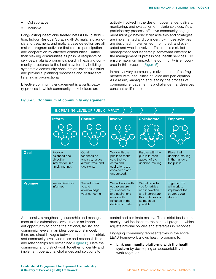- **Collaborative**
- Inclusive

Long-lasting insecticide treated nets (LLIN) distribution, Indoor Residual Spraying (IRS), malaria diagnosis and treatment, and malaria case detection are all malaria program activities that require participation and cooperation by affected communities. Rather than viewing communities as passive recipients of services, malaria programs should link existing community structures to the health system by building systematic community consultation into their district and provincial planning processes and ensure that listening is bi-directional.

Effective community engagement is a participatory process in which community stakeholders are

actively involved in the design, governance, delivery, monitoring, and evaluation of malaria services. As a participatory process, effective community engagement must go beyond *what* activities and strategies are implemented and consider *how* those activities are designed, implemented, monitored, and evaluated and who is involved. This requires skilled management and leadership somewhat different to the management of professional health services. To ensure maximum impact, the community is empowered in this process. (Figure 5)

In reality every community is diverse and often fragmented with inequalities of voice and participation. As a result, managing and leading the process of community engagement is a challenge that deserves constant skillful attention.

|                | INCREASING LEVEL OF PUBLIC IMPACT                                          |                                                                               |                                                                                                                               |                                                                                                                        |                                                                          |  |  |  |
|----------------|----------------------------------------------------------------------------|-------------------------------------------------------------------------------|-------------------------------------------------------------------------------------------------------------------------------|------------------------------------------------------------------------------------------------------------------------|--------------------------------------------------------------------------|--|--|--|
|                | <b>Inform</b>                                                              | <b>Consult</b>                                                                | <b>Involve</b>                                                                                                                | <b>Collaborate</b>                                                                                                     | <b>Empower</b>                                                           |  |  |  |
|                |                                                                            |                                                                               |                                                                                                                               |                                                                                                                        |                                                                          |  |  |  |
| Goal           | Provide<br>balanced and<br>objective<br>information in a<br>timely manner. | Obtain<br>feedback on<br>analysis, issues,<br>alternatives, and<br>decisions. | Work with the<br>public to make<br>sure that con-<br>cerns and<br>aspirations are<br>considered and<br>understood.            | Partner with the<br>public in each<br>aspect of the<br>decision-making.                                                | Place final<br>decision-making<br>in the hands of<br>the public.         |  |  |  |
| <b>Promise</b> | We will keep you<br>informed.                                              | We will listen<br>to and<br>acknowledge<br>your concerns.                     | We will work with<br>you to ensure<br>your concerns<br>and aspirations<br>are directly<br>reflected in the<br>decisions made. | We will look to<br>you for advice<br>and innovation<br>and incorporate<br>this in decisions<br>as much as<br>possible. | Together, we<br>will work to<br>implement the<br>strategy you<br>decide. |  |  |  |

### Figure 5. Continuum of community engagement

Additionally, strengthening leadership and management at the subnational level creates an important opportunity to bridge the national, facility, and community levels. In an ideal operational model, there are direct linkages between the central, district, and community levels and roles and responsibilities and relationships are reimagined (Figure 6). Here the community and district work together to identify and implement operational challenges and solutions to

control and eliminate malaria. The district feeds community-level feedback to the national program, which adjusts national policies and strategies in response.

Engaging community representatives in the entire LEAD Framework allows health programs to:

• Link community platforms with the health system by developing an accountability framework together.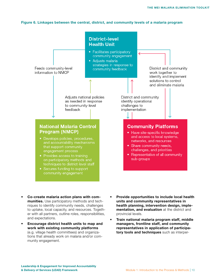#### Figure 6. Linkages between the central, district, and community levels of a malaria program



- munities. Use participatory methods and techniques to identify community needs, challenges to uptake, local capacity, and resources. Together with all partners, outline roles, responsibilities, and expectations.
- Encourage district health units to map and work with existing community platforms (e.g. village health committees) and organizations that already work on malaria and/or community engagement.
- Provide opportunities to include local health units and community representatives in health planning, intervention design, implementation, and evaluation at the district and provincial levels.
- Train national malaria program staff, middle managers, frontline staff, and community representatives in application of participatory tools and techniques such as interper-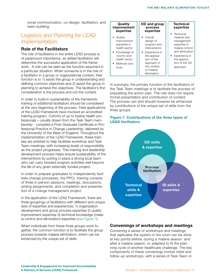sonal communication, co-design, facilitation, and team building.

# Logistics and Planning for LEAD Implementation

### Role of the Facilitators

The role of facilitators in the entire LEAD process is of paramount importance, as skilled facilitation will determine the successful application of the framework. A role can be seen as the function assumed in a particular situation. When someone is in the role of a facilitator in a group or organizational context, their function is to 1) assist the group in understanding and defining common objectives and 2) assist the group in planning to achieve the objectives. The facilitator's first consideration is the process and not the content.

In order to build in sustainability of the framework, training of additional facilitators should be considered at the very beginning of the process. Field applications of the LEAD Framework have involved an accredited training program. Cohorts of up to twelve health professionals – usually drawn from the Task Team membership - complete a Post-Graduate Certificate in Professional Practice in Change Leadership, delivered by the University of the West of England. Throughout the implementation of the LEAD Framework, these trainees are enlisted to help facilitate workshop and Task Team meetings, with increasing levels of responsibility as the project progresses. This training and leadership development process helps ensure sustainability of the interventions by putting in place a strong local team who can carry forward program activities well beyond the life of any given externally funded project.

In order to prepare graduates to independently facilitate change processes, the PPCL training consists of three in-person sessions, readings, discussions, writing assignments, and completion and presentation of a change management project.

In the application of the LEAD Framework, there are three groupings of facilitators with different and unique sets of expertise and experiences: 1) organization development and group process expertise 2) quality improvement expertise 3) technical knowledge (malaria control and elimination) expertise (see Figure 7).

When individuals from these three groups work together, the common function is to facilitate the group process towards malaria elimination, which can be enhanced by the unique set of skills.

| Quality                                                                                                                                          | OD and group                                                                                                                                                                   | <b>Technical</b>                                                                                                                                 |
|--------------------------------------------------------------------------------------------------------------------------------------------------|--------------------------------------------------------------------------------------------------------------------------------------------------------------------------------|--------------------------------------------------------------------------------------------------------------------------------------------------|
| improvement                                                                                                                                      | process                                                                                                                                                                        | expertise                                                                                                                                        |
| expertise                                                                                                                                        | expertise                                                                                                                                                                      | • Technical.                                                                                                                                     |
| Quality<br>$\bullet$<br>improvement<br>expertise in<br>health sector<br>• Knowledge of<br>country and<br>health sector<br>• Methods and<br>tools | Overall<br>$\bullet$<br>design of<br>program and<br>interventions<br>• Experience in<br>the applica-<br>tion of the<br>approach in<br>the context<br>of malaria<br>elimination | medical and<br>management<br>expertise in<br>malaria control<br>and elimination<br>• Experience in<br>the applica-<br>tion of the OD<br>approach |

In summary, the primary function of the facilitators of the Task Team meetings is to facilitate the process of populating the action plan. The role does not require formal presentation and contribution of content. The process can and should however be enhanced by contributions of the unique set of skills from the three groups.

### Figure 7. Contributions of the three types of LEAD facilitators



### Convenings of workshops and meetings

Convening a series of workshops and meetings that replicates the system in the room can be done at key points before, during a malaria season. and after a malaria season, or adapted to fit the planning cycle of another healthcare challenge. The key components of these convenings involve initial and follow-up workshops, with a series of Task Team or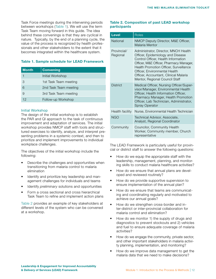Task Force meetings during the intervening periods between workshops (Table 1). We will use the term Task Team moving forward in this guide. The idea behind these convenings is that they are cyclical in nature. Typically, by the end of a planning cycle, the value of the process is recognized by health professionals and other stakeholders to the extent that it becomes integrated within the healthcare system.

### Table 1. Sample schedule for LEAD Framework

| <b>Month</b> | <b>Convening</b>      |
|--------------|-----------------------|
|              | Initial Workshop      |
| З            | 1st Task Team meeting |
| 6            | 2nd Task Team meeting |
| 9            | 3rd Task Team meeting |
| 12           | Follow-up Workshop    |

### Initial Workshop

The design of the initial workshop is to establish the PAR and QI approach to the task of continuous improvement and adaptation of services. The initial workshop provides NMCP staff with tools and structured exercises to identify, analyze, and interpret presenting problems in a systemic context, and then to prioritize and implement improvements to individual workplace challenges.

The objectives of the initial workshop include the following:

- Describe the challenges and opportunities when transitioning from malaria control to malaria elimination
- Identify and prioritize key leadership and management challenges for individuals and teams
- Identify *preliminary* solutions and opportunities
- Form a cross sectional and cross hierarchical Task Team to refine and implement action plans

Table 2 provides an example of key stakeholders at different levels of the system who can be convened at a workshop.

### Table 2. Composition of past LEAD workshop participants

| <b>Level</b>            | <b>Roles</b>                                                                                                                                                                                                                                                                                                      |
|-------------------------|-------------------------------------------------------------------------------------------------------------------------------------------------------------------------------------------------------------------------------------------------------------------------------------------------------------------|
| <b>National</b>         | NMCP Deputy Director, M&E Officer,<br>Malaria Mentor                                                                                                                                                                                                                                                              |
| Provincial/<br>Regional | Administrator, Director, MNCH Health<br>Officer, Epidemiology and Disease<br>Control Officer, Health Information<br>Officer, M&E Officer, Pharmacy Manager,<br>Health Promotion Officer, Surveillance<br>Officer, Environmental Health<br>Officer, Accountant, Clinical Malaria<br>Mentor, Regional Council Staff |
| <b>District</b>         | Medical Officer, Nursing Officer/Super-<br>visor/Manager, Environmental Health<br>Officer, Health Information Officer,<br>Pharmacy Manager, Health Promotion<br>Officer, Lab Technician, Administrator,<br>Spray Operator                                                                                         |
| Health facility         | Nurse, Environmental Health Technician                                                                                                                                                                                                                                                                            |
| <b>NGO</b>              | Technical Advisor, Associate,<br>Analyst, Regional Coordinator                                                                                                                                                                                                                                                    |
| Community               | Councilor, Community Health<br>Worker, Community member, Church<br>representative                                                                                                                                                                                                                                 |

The LEAD Framework is particularly useful for provincial or district staff to answer the following questions:

- How do we equip the appropriate staff with the leadership, management, planning, and monitoring skills to conduct malaria healthcare activities?
- How do we ensure that annual plans are developed and reviewed routinely?
- How do we provide supportive supervision to ensure implementation of the annual plan?
- How do we ensure that teams are communicating and coordinating regularly and motivated to achieve our annual goals?
- How do we strengthen cross-border and inter-district or inter-provincial collaboration for malaria control and elimination?
- How do we monitor 1) the supply of drugs and diagnostics to prevent stockouts and 2) vehicles and fuel to ensure adequate coverage of malaria activities?
- How do we engage the community, private sector, and other important stakeholders in malaria activity planning, implementation, and monitoring?
- How do we improve data management to get the malaria data that we need to make decisions?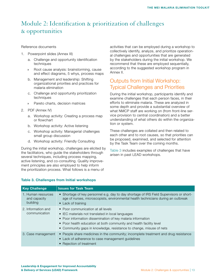# Module 2: Identification & prioritization of challenges & opportunities

#### Reference documents

- 1. Powerpoint slides (Annex III)
	- a. Challenge and opportunity identification techniques
	- » Root cause analysis: brainstorming, cause and effect diagrams, 5 whys, process maps
	- b. Management and leadership: Shifting organizational priorities and practices for malaria elimination
	- c. Challenge and opportunity prioritization techniques
	- » Pareto charts, decision matrices
- 2. PDF (Annex IV)
	- a. Workshop activity: Creating a process map or flowchart
	- b. Workshop activity: Active listening
	- c. Workshop activity: Managerial challenges small group discussion
	- d. Workshop activity: Friendly Consulting

During the initial workshop, challenges are elicited by the facilitators, who guide the stakeholders through several techniques, including process mapping, active listening, and co-consulting. Quality improvement principles are also employed to help inform the prioritization process. What follows is a menu of

activities that can be employed during a workshop to collectively identify, analyze, and prioritize operational challenges and opportunities that are generated by the stakeholders during the initial workshop. We recommend that these are employed sequentially, according to the suggested workshop program in Annex II.

## Outputs from Initial Workshop: Typical Challenges and Priorities

During the initial workshop, participants identify and examine challenges that each person faces, in their efforts to eliminate malaria. These are analyzed in some depth and provide a substantial overview of what NMCP staff are working on (from front-line service provision to central coordination) and a better understanding of what others do within the organization or system.

These challenges are collated and then related to each other and to root causes, so that priorities can be proposed, examined, and selected for attention by the Task Team over the coming months.

Table 3 includes examples of challenges that have arisen in past LEAD workshops.

#### Table 3. Challenges from Initial workshops

| <b>Key Challenge</b>                           | <b>Issues for Task Team</b>                                                                                                                                                                                                                                                                          |
|------------------------------------------------|------------------------------------------------------------------------------------------------------------------------------------------------------------------------------------------------------------------------------------------------------------------------------------------------------|
| 1. Human resources<br>and capacity<br>building | • Shortage of key personnel e.g. day to day shortage of IRS Field Supervisors or short-<br>age of nurses, microscopists, environmental health technicians during an outbreak<br>• Lack of training                                                                                                   |
| 2. Information and<br>communication            | • Poor communication at all levels<br>• IEC materials not translated in local languages<br>• Poor information dissemination of key malaria information<br>• Poor health education at both community and health facility level<br>• Community gaps in knowledge, resistance to change, misuse of nets |
| 3. Case management                             | • People share medicines in the community; incomplete treatment and drug resistance<br>• Lack of adherence to case management guidelines<br>• Rejection of treatment                                                                                                                                 |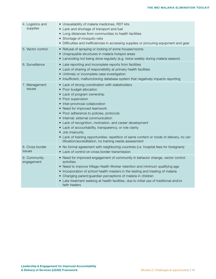| 4. Logistics and<br>supplies | • Unavailability of malaria medicines, RDT kits<br>• Lack and shortage of transport and fuel<br>• Long distances from communities to health facilities<br>• Shortage of mosquito nets<br>• Difficulties and inefficiencies in accessing supplies or procuring equipment and gear                                                                                                                                                                                                                                                                                                         |
|------------------------------|------------------------------------------------------------------------------------------------------------------------------------------------------------------------------------------------------------------------------------------------------------------------------------------------------------------------------------------------------------------------------------------------------------------------------------------------------------------------------------------------------------------------------------------------------------------------------------------|
| 5. Vector control            | • Refusal of spraying or locking of some houses/rooms<br>• Unsprayable structures in malaria hotspot areas<br>• Larviciding not being done regularly (e.g. twice weekly during malaria season)                                                                                                                                                                                                                                                                                                                                                                                           |
| 6. Surveillance              | • Late reporting and incomplete reports from facilities<br>• Lack of sharing of responsibility at primary health facilities<br>• Untimely or incomplete case investigation<br>• Insufficient, malfunctioning database system that negatively impacts reporting                                                                                                                                                                                                                                                                                                                           |
| 7. Management<br>issues      | • Lack of strong coordination with stakeholders<br>• Poor budget allocation<br>• Lack of program ownership<br>• Poor supervision<br>· Inter-provincial collaboration<br>• Need for improved teamwork<br>• Poor adherence to policies, protocols<br>• Internal, external communication<br>• Lack of recognition, motivation, and career development<br>• Lack of accountability, transparency, or role clarity<br>• Job insecurity<br>• Lack of training opportunities: repetition of same content or mode of delivery, no cer-<br>tification/accreditation, no training needs assessment |
| 8. Cross border<br>issues    | • No formal agreement with neighboring countries (i.e. hospital fees for foreigners)<br>• Lack of control on cross border transmission                                                                                                                                                                                                                                                                                                                                                                                                                                                   |
| 9. Community<br>engagement   | • Need for improved engagement of community in behavior change, vector control<br>activities<br>• Need to improve Village Health Worker retention and minimum qualifying age<br>• Incorporation of school health masters in the testing and treating of malaria<br>• Changing parent/guardian perceptions of malaria in children<br>• Late treatment seeking at health facilities, due to initial use of traditional and/or<br>faith healers                                                                                                                                             |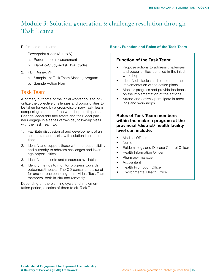# Module 3: Solution generation & challenge resolution through Task Teams

Reference documents

- 1. Powerpoint slides (Annex V)
	- a. Performance measurement
	- b. Plan-Do-Study-Act (PDSA) cycles
- 2. PDF (Annex VI)
	- a. Sample 1st Task Team Meeting program
	- b. Sample Action Plan

### Task Team

A primary outcome of the initial workshop is to prioritize the collective challenges and opportunities to be taken forward by a cross-disciplinary Task Team comprising a subset of the workshop participants. Change leadership facilitators and their local partners engage in a series of two-day follow-up visits with the Task Team to:

- 1. Facilitate discussion of and development of an action plan and assist with solution implementation;
- 2. Identify and support those with the responsibility and authority to address challenges and leverage opportunities;
- 3. Identify the talents and resources available;
- 4. Identify metrics to monitor progress towards outcomes/impacts. The OD consultants also offer one-on-one coaching to individual Task Team members, both in-situ and remotely.

Depending on the planning cycle and implementation period, a series of three to six Task Team

### Box 1. Function and Roles of the Task Team

### Function of the Task Team:

- Propose actions to address challenges and opportunities identified in the initial workshop
- Identify obstacles and enablers to the implementation of the action plans
- Monitor progress and provide feedback on the implementation of the actions
- Attend and actively participate in meetings and workshops

### Roles of Task Team members within the malaria program at the provincial /district/ health facility level can include:

- Medical Officer
- Nurse
- Epidemiology and Disease Control Officer
- Health Information Officer
- Pharmacy manager
- Accountant
- Health Promotion Officer
- Environmental Health Officer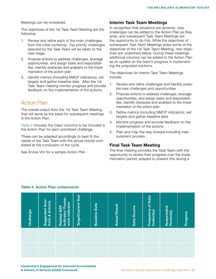Meetings can be scheduled.

The objectives of the 1st Task Team Meeting are the following:

- 1. Review and refine each of the main challenges from the initial workshop. Top priority challenges selected by the Task Team will be taken to the next stage.
- 2. Propose actions to address challenges, leverage opportunities, and assign tasks and responsibilities. Identify obstacles and enablers to the implementation of the action plan
- 3. Identify metrics (including NMCP indicators), set targets and gather baseline data. After the 1st Task Team meeting monitor progress and provide feedback on the implementation of the actions.

## Action Plan

The overall output from the 1st Task Team Meeting that will serve as the basis for subsequent meetings is the Action Plan.

Table 4 includes the major columns to be included in the Action Plan for each prioritized challenge.

These can be adapted accordingly to best fit the needs of the Task Team with the actual results completed at the conclusion of the cycle.

See Annex VIIc for a sample Action Plan.

### Interim Task Team Meetings

In recognition that situations are dynamic, new challenges can be added to the Action Plan as they arise, and subsequent Task Team Meetings are the opportunity to do this. While the objectives of subsequent Task Team Meetings share some of the objectives of the 1st Task Team Meeting, new objectives are underlined below. During these meetings additional columns can be added to the Action Plan as an update on the team's progress in implementing the proposed solutions.

The objectives for interim Task Team Meetings include:

- 1. Review and refine challenges and identify possible new challenges and opportunities
- 2. Propose actions to address challenges, leverage opportunities, and assign tasks and responsibilities. Identify obstacles and enablers to the implementation of the action plan
- 3. Refine metrics (including NMCP indicators), set targets and gather baseline data
- 4. Monitor progress and provide feedback on the implementation of the actions
- 5. Plan and map the way forward including measurement process

### Final Task Team Meeting

The final meeting provides the Task Team with the opportunity to review their progress over the implementation period, prepare to present this during a

### Table 4. Action Plan components

| Challenge | Suggested Solu-<br>tions & Actions | Related NSP<br>Indicator/ Frame-<br>work Indicator | TargetCurrent Year | <b>Baseline Data</b> | <b>Actual Result</b> | Data Source | <b>Frequency of Data</b><br>Collection | Responsible<br>Person(s) | <b>Progress</b> |
|-----------|------------------------------------|----------------------------------------------------|--------------------|----------------------|----------------------|-------------|----------------------------------------|--------------------------|-----------------|
|           |                                    |                                                    |                    |                      |                      |             |                                        |                          |                 |
|           |                                    |                                                    |                    |                      |                      |             |                                        |                          |                 |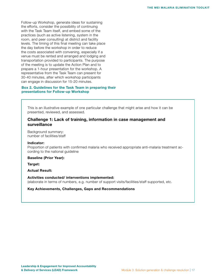Follow-up Workshop, generate ideas for sustaining the efforts, consider the possibility of continuing with the Task Team itself, and embed some of the practices (such as active listening, system in the room, and peer consulting) at district and facility levels. The timing of this final meeting can take place the day before the workshop in order to reduce the costs associated with convening, especially if a venue must be rented and arranged and lodging and transportation provided to participants. The purpose of the meeting is to update the Action Plan and to prepare a 1-hour presentation for the workshop. A representative from the Task Team can present for 30-40 minutes, after which workshop participants can engage in discussion for 15-20 minutes.

### Box 2. Guidelines for the Task Team in preparing their presentations for Follow-up Workshop

This is an illustrative example of one particular challenge that might arise and how it can be presented, reviewed, and assessed.

### Challenge 1: Lack of training, information in case management and surveillance

Background summary: number of facilities/staff

#### Indicator:

Proportion of patients with confirmed malaria who received appropriate anti-malaria treatment according to the national guideline

Baseline (Prior Year):

Target:

Actual Result:

Activities conducted/ interventions implemented: (elaborate in terms of numbers, e.g. number of support visits/facilities/staff supported, etc.

Key Achievements, Challenges, Gaps and Recommendations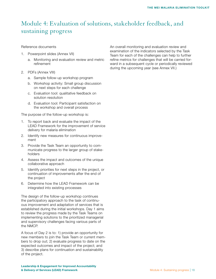# Module 4: Evaluation of solutions, stakeholder feedback, and sustaining progress

Reference documents

- 1. Powerpoint slides (Annex VII)
	- a. Monitoring and evaluation review and metric refinement
- 2. PDFs (Annex VIII)
	- a. Sample follow-up workshop program
	- b. Workshop activity: Small group discussion on next steps for each challenge
	- c. Evaluation tool: qualitative feedback on solution resolution
	- d. Evaluation tool: Participant satisfaction on the workshop and overall process

The purpose of the follow-up workshop is:

- 1. To report back and evaluate the impact of the LEAD Framework for the improvement of service delivery for malaria elimination
- 2. Identify new measures for continuous improvement
- 3. Provide the Task Team an opportunity to communicate progress to the larger group of stakeholders
- 4. Assess the impact and outcomes of the unique collaborative approach
- 5. Identify priorities for next steps in the project, or continuation of improvements after the end of the project
- 6. Determine how the LEAD Framework can be integrated into existing processes

The design of the follow-up workshop continues the participatory approach to the task of continuous improvement and adaptation of services that is established during the initial workshops. Day 1 aims to review the progress made by the Task Teams on implementing solutions to the prioritized managerial and supervisory challenges facing various parts of the NMCP.

A focus of Day 2 is to: 1) provide an opportunity for new members to join the Task Team or current members to drop out; 2) evaluate progress to date on the expected outcomes and impact of the project; and 3) describe plans for continuation and sustainability of the project.

An overall monitoring and evaluation review and examination of the indicators selected by the Task Team for each of the challenges can help to further refine metrics for challenges that will be carried forward in a subsequent cycle or periodically reviewed during the upcoming year (see Annex VII.)